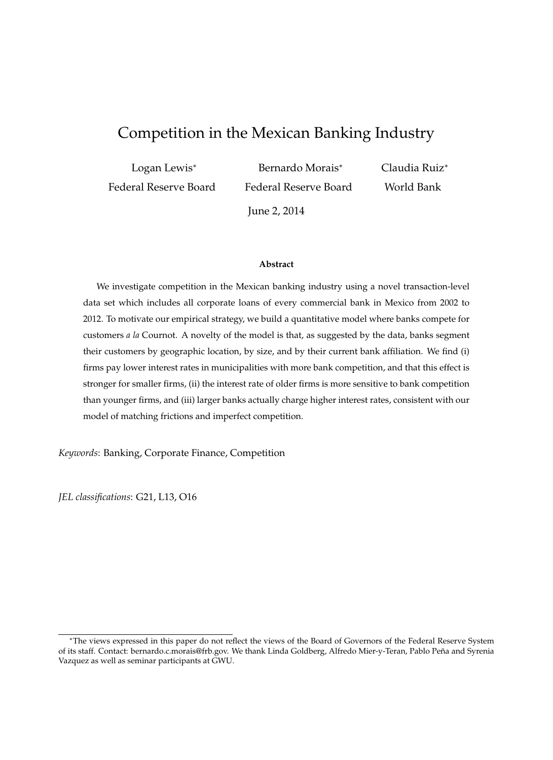# Competition in the Mexican Banking Industry

| Logan Lewis <sup>*</sup> | Bernardo Morais*      | Claudia |
|--------------------------|-----------------------|---------|
| Federal Reserve Board    | Federal Reserve Board | World   |

June 2, 2014

a Ruiz\* Bank

#### **Abstract**

We investigate competition in the Mexican banking industry using a novel transaction-level data set which includes all corporate loans of every commercial bank in Mexico from 2002 to 2012. To motivate our empirical strategy, we build a quantitative model where banks compete for customers *a la* Cournot. A novelty of the model is that, as suggested by the data, banks segment their customers by geographic location, by size, and by their current bank affiliation. We find (i) firms pay lower interest rates in municipalities with more bank competition, and that this effect is stronger for smaller firms, (ii) the interest rate of older firms is more sensitive to bank competition than younger firms, and (iii) larger banks actually charge higher interest rates, consistent with our model of matching frictions and imperfect competition.

*Keywords*: Banking, Corporate Finance, Competition

*JEL classifications*: G21, L13, O16

The views expressed in this paper do not reflect the views of the Board of Governors of the Federal Reserve System of its staff. Contact: bernardo.c.morais@frb.gov. We thank Linda Goldberg, Alfredo Mier-y-Teran, Pablo Peña and Syrenia Vazquez as well as seminar participants at GWU.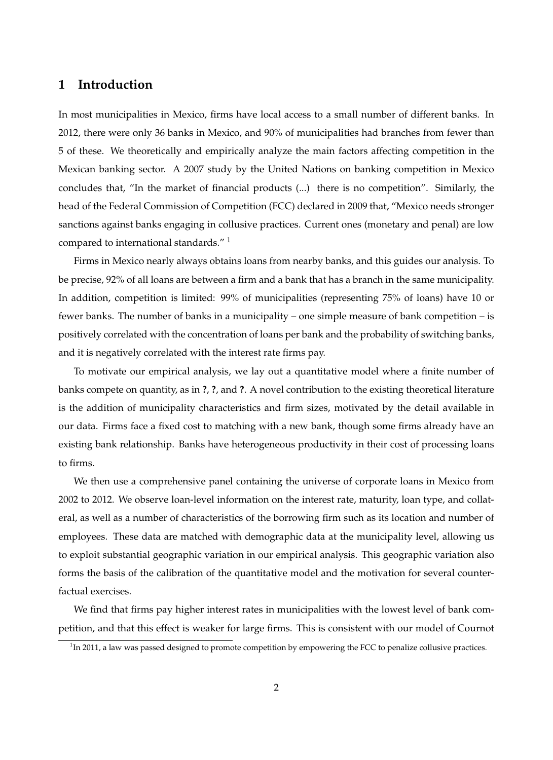# **1 Introduction**

In most municipalities in Mexico, firms have local access to a small number of different banks. In 2012, there were only 36 banks in Mexico, and 90% of municipalities had branches from fewer than 5 of these. We theoretically and empirically analyze the main factors affecting competition in the Mexican banking sector. A 2007 study by the United Nations on banking competition in Mexico concludes that, "In the market of financial products (...) there is no competition". Similarly, the head of the Federal Commission of Competition (FCC) declared in 2009 that, "Mexico needs stronger sanctions against banks engaging in collusive practices. Current ones (monetary and penal) are low compared to international standards."<sup>1</sup>

Firms in Mexico nearly always obtains loans from nearby banks, and this guides our analysis. To be precise, 92% of all loans are between a firm and a bank that has a branch in the same municipality. In addition, competition is limited: 99% of municipalities (representing 75% of loans) have 10 or fewer banks. The number of banks in a municipality – one simple measure of bank competition – is positively correlated with the concentration of loans per bank and the probability of switching banks, and it is negatively correlated with the interest rate firms pay.

To motivate our empirical analysis, we lay out a quantitative model where a finite number of banks compete on quantity, as in **?**, **?**, and **?**. A novel contribution to the existing theoretical literature is the addition of municipality characteristics and firm sizes, motivated by the detail available in our data. Firms face a fixed cost to matching with a new bank, though some firms already have an existing bank relationship. Banks have heterogeneous productivity in their cost of processing loans to firms.

We then use a comprehensive panel containing the universe of corporate loans in Mexico from 2002 to 2012. We observe loan-level information on the interest rate, maturity, loan type, and collateral, as well as a number of characteristics of the borrowing firm such as its location and number of employees. These data are matched with demographic data at the municipality level, allowing us to exploit substantial geographic variation in our empirical analysis. This geographic variation also forms the basis of the calibration of the quantitative model and the motivation for several counterfactual exercises.

We find that firms pay higher interest rates in municipalities with the lowest level of bank competition, and that this effect is weaker for large firms. This is consistent with our model of Cournot

 $1$ In 2011, a law was passed designed to promote competition by empowering the FCC to penalize collusive practices.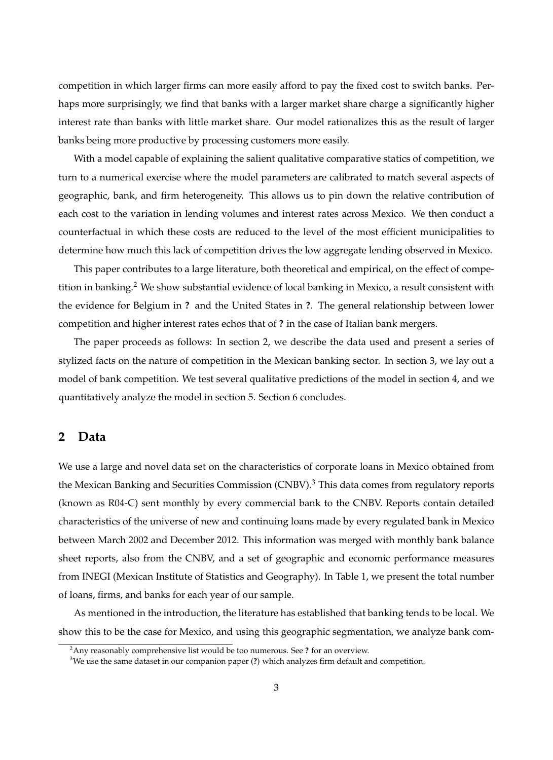competition in which larger firms can more easily afford to pay the fixed cost to switch banks. Perhaps more surprisingly, we find that banks with a larger market share charge a significantly higher interest rate than banks with little market share. Our model rationalizes this as the result of larger banks being more productive by processing customers more easily.

With a model capable of explaining the salient qualitative comparative statics of competition, we turn to a numerical exercise where the model parameters are calibrated to match several aspects of geographic, bank, and firm heterogeneity. This allows us to pin down the relative contribution of each cost to the variation in lending volumes and interest rates across Mexico. We then conduct a counterfactual in which these costs are reduced to the level of the most efficient municipalities to determine how much this lack of competition drives the low aggregate lending observed in Mexico.

This paper contributes to a large literature, both theoretical and empirical, on the effect of competition in banking.<sup>2</sup> We show substantial evidence of local banking in Mexico, a result consistent with the evidence for Belgium in **?** and the United States in **?**. The general relationship between lower competition and higher interest rates echos that of **?** in the case of Italian bank mergers.

The paper proceeds as follows: In section 2, we describe the data used and present a series of stylized facts on the nature of competition in the Mexican banking sector. In section 3, we lay out a model of bank competition. We test several qualitative predictions of the model in section 4, and we quantitatively analyze the model in section 5. Section 6 concludes.

### **2 Data**

We use a large and novel data set on the characteristics of corporate loans in Mexico obtained from the Mexican Banking and Securities Commission (CNBV).<sup>3</sup> This data comes from regulatory reports (known as R04-C) sent monthly by every commercial bank to the CNBV. Reports contain detailed characteristics of the universe of new and continuing loans made by every regulated bank in Mexico between March 2002 and December 2012. This information was merged with monthly bank balance sheet reports, also from the CNBV, and a set of geographic and economic performance measures from INEGI (Mexican Institute of Statistics and Geography). In Table 1, we present the total number of loans, firms, and banks for each year of our sample.

As mentioned in the introduction, the literature has established that banking tends to be local. We show this to be the case for Mexico, and using this geographic segmentation, we analyze bank com-

<sup>2</sup>Any reasonably comprehensive list would be too numerous. See **?** for an overview.

<sup>3</sup>We use the same dataset in our companion paper (**?**) which analyzes firm default and competition.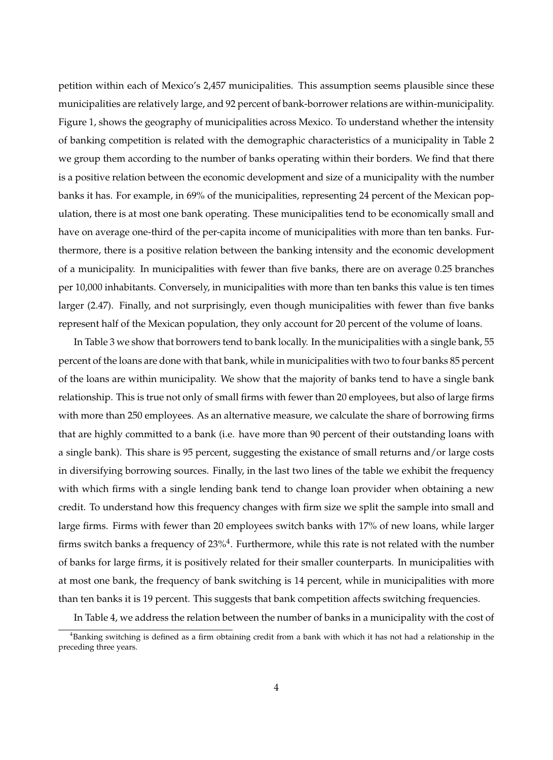petition within each of Mexico's 2,457 municipalities. This assumption seems plausible since these municipalities are relatively large, and 92 percent of bank-borrower relations are within-municipality. Figure 1, shows the geography of municipalities across Mexico. To understand whether the intensity of banking competition is related with the demographic characteristics of a municipality in Table 2 we group them according to the number of banks operating within their borders. We find that there is a positive relation between the economic development and size of a municipality with the number banks it has. For example, in 69% of the municipalities, representing 24 percent of the Mexican population, there is at most one bank operating. These municipalities tend to be economically small and have on average one-third of the per-capita income of municipalities with more than ten banks. Furthermore, there is a positive relation between the banking intensity and the economic development of a municipality. In municipalities with fewer than five banks, there are on average 0.25 branches per 10,000 inhabitants. Conversely, in municipalities with more than ten banks this value is ten times larger (2.47). Finally, and not surprisingly, even though municipalities with fewer than five banks represent half of the Mexican population, they only account for 20 percent of the volume of loans.

In Table 3 we show that borrowers tend to bank locally. In the municipalities with a single bank, 55 percent of the loans are done with that bank, while in municipalities with two to four banks 85 percent of the loans are within municipality. We show that the majority of banks tend to have a single bank relationship. This is true not only of small firms with fewer than 20 employees, but also of large firms with more than 250 employees. As an alternative measure, we calculate the share of borrowing firms that are highly committed to a bank (i.e. have more than 90 percent of their outstanding loans with a single bank). This share is 95 percent, suggesting the existance of small returns and/or large costs in diversifying borrowing sources. Finally, in the last two lines of the table we exhibit the frequency with which firms with a single lending bank tend to change loan provider when obtaining a new credit. To understand how this frequency changes with firm size we split the sample into small and large firms. Firms with fewer than 20 employees switch banks with 17% of new loans, while larger firms switch banks a frequency of  $23\%$ <sup>4</sup>. Furthermore, while this rate is not related with the number of banks for large firms, it is positively related for their smaller counterparts. In municipalities with at most one bank, the frequency of bank switching is 14 percent, while in municipalities with more than ten banks it is 19 percent. This suggests that bank competition affects switching frequencies.

In Table 4, we address the relation between the number of banks in a municipality with the cost of

<sup>&</sup>lt;sup>4</sup>Banking switching is defined as a firm obtaining credit from a bank with which it has not had a relationship in the preceding three years.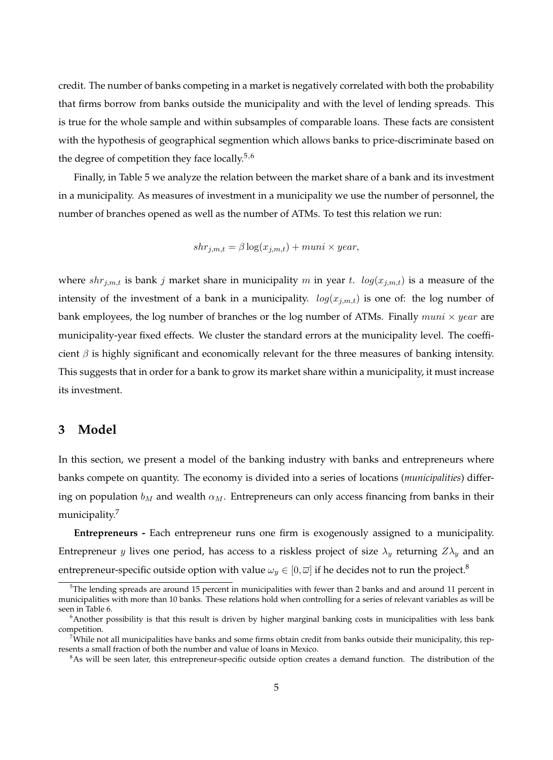credit. The number of banks competing in a market is negatively correlated with both the probability that firms borrow from banks outside the municipality and with the level of lending spreads. This is true for the whole sample and within subsamples of comparable loans. These facts are consistent with the hypothesis of geographical segmention which allows banks to price-discriminate based on the degree of competition they face locally.<sup>5,6</sup>

Finally, in Table 5 we analyze the relation between the market share of a bank and its investment in a municipality. As measures of investment in a municipality we use the number of personnel, the number of branches opened as well as the number of ATMs. To test this relation we run:

$$
shr_{j,m,t} = \beta \log(x_{j,m,t}) + muni \times year,
$$

where  $shr_{j,m,t}$  is bank j market share in municipality m in year t.  $log(x_{j,m,t})$  is a measure of the intensity of the investment of a bank in a municipality.  $log(x_{j,m,t})$  is one of: the log number of bank employees, the log number of branches or the log number of ATMs. Finally  ${\it muni} \times {\it year}$  are municipality-year fixed effects. We cluster the standard errors at the municipality level. The coefficient  $\beta$  is highly significant and economically relevant for the three measures of banking intensity. This suggests that in order for a bank to grow its market share within a municipality, it must increase its investment.

## **3 Model**

In this section, we present a model of the banking industry with banks and entrepreneurs where banks compete on quantity. The economy is divided into a series of locations (*municipalities*) differing on population  $b_M$  and wealth  $\alpha_M$ . Entrepreneurs can only access financing from banks in their municipality.<sup>7</sup>

**Entrepreneurs -** Each entrepreneur runs one firm is exogenously assigned to a municipality. Entrepreneur y lives one period, has access to a riskless project of size  $\lambda_y$  returning  $Z\lambda_y$  and an entrepreneur-specific outside option with value  $\omega_y \in [0, \overline{\omega}]$  if he decides not to run the project.<sup>8</sup>

 $5$ The lending spreads are around 15 percent in municipalities with fewer than 2 banks and and around 11 percent in municipalities with more than 10 banks. These relations hold when controlling for a series of relevant variables as will be seen in Table 6.

 $6$ Another possibility is that this result is driven by higher marginal banking costs in municipalities with less bank competition.

 $^{7}$ While not all municipalities have banks and some firms obtain credit from banks outside their municipality, this represents a small fraction of both the number and value of loans in Mexico.

 $8$ As will be seen later, this entrepreneur-specific outside option creates a demand function. The distribution of the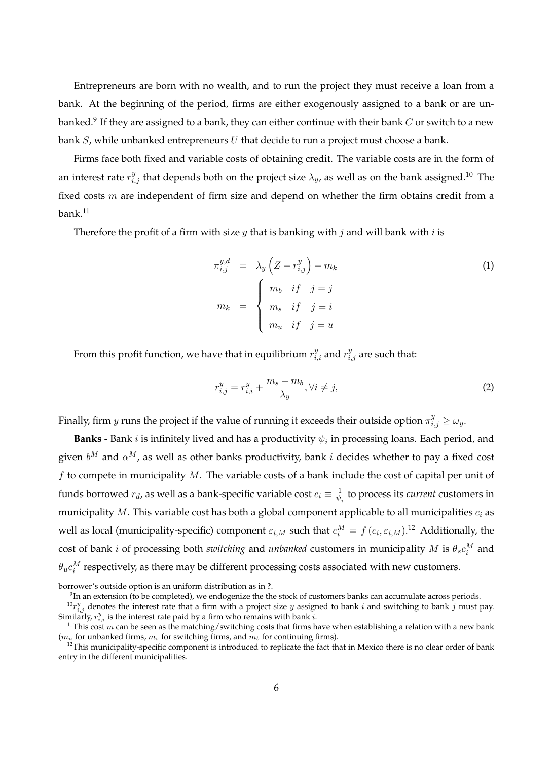Entrepreneurs are born with no wealth, and to run the project they must receive a loan from a bank. At the beginning of the period, firms are either exogenously assigned to a bank or are unbanked. $^9$  If they are assigned to a bank, they can either continue with their bank  $C$  or switch to a new bank  $S$ , while unbanked entrepreneurs  $U$  that decide to run a project must choose a bank.

Firms face both fixed and variable costs of obtaining credit. The variable costs are in the form of an interest rate  $r_{i,j}^y$  that depends both on the project size  $\lambda_y$ , as well as on the bank assigned.<sup>10</sup> The fixed costs  $m$  are independent of firm size and depend on whether the firm obtains credit from a  $bank<sup>11</sup>$ 

Therefore the profit of a firm with size  $y$  that is banking with  $j$  and will bank with  $i$  is

$$
\pi_{i,j}^{y,d} = \lambda_y \left( Z - r_{i,j}^y \right) - m_k
$$
\n
$$
m_k = \begin{cases}\n m_b & \text{if } j = j \\
m_s & \text{if } j = i \\
m_u & \text{if } j = u\n\end{cases}
$$
\n(1)

From this profit function, we have that in equilibrium  $r_{i,i}^y$  and  $r_{i,j}^y$  are such that:

$$
r_{i,j}^y = r_{i,i}^y + \frac{m_s - m_b}{\lambda_y}, \forall i \neq j,
$$
\n<sup>(2)</sup>

Finally, firm  $y$  runs the project if the value of running it exceeds their outside option  $\pi_{i,j}^y \ge \omega_y$ .

**Banks -** Bank  $i$  is infinitely lived and has a productivity  $\psi_i$  in processing loans. Each period, and given  $b^M$  and  $\alpha^M$ , as well as other banks productivity, bank *i* decides whether to pay a fixed cost  $f$  to compete in municipality  $M$ . The variable costs of a bank include the cost of capital per unit of funds borrowed  $r_d$ , as well as a bank-specific variable cost  $c_i\equiv\frac{1}{\psi_c}$  $\frac{1}{\psi_i}$  to process its *current* customers in municipality  $M$ . This variable cost has both a global component applicable to all municipalities  $c_i$  as well as local (municipality-specific) component  $\varepsilon_{i,M}$  such that  $c_i^M = f(c_i, \varepsilon_{i,M})$ .<sup>12</sup> Additionally, the cost of bank *i* of processing both *switching* and *unbanked* customers in municipality M is  $\theta_s c_i^M$  and  $\theta_u c_i^M$  respectively, as there may be different processing costs associated with new customers.

borrower's outside option is an uniform distribution as in **?**.

 $^{9}$ In an extension (to be completed), we endogenize the the stock of customers banks can accumulate across periods.

 $^{10}r_{i,j}^y$  denotes the interest rate that a firm with a project size y assigned to bank i and switching to bank j must pay. Similarly,  $r_{i,i}^y$  is the interest rate paid by a firm who remains with bank  $i$ .

<sup>&</sup>lt;sup>11</sup>This cost *m* can be seen as the matching/switching costs that firms have when establishing a relation with a new bank  $(m_u$  for unbanked firms,  $m_s$  for switching firms, and  $m_b$  for continuing firms).

 $12$ This municipality-specific component is introduced to replicate the fact that in Mexico there is no clear order of bank entry in the different municipalities.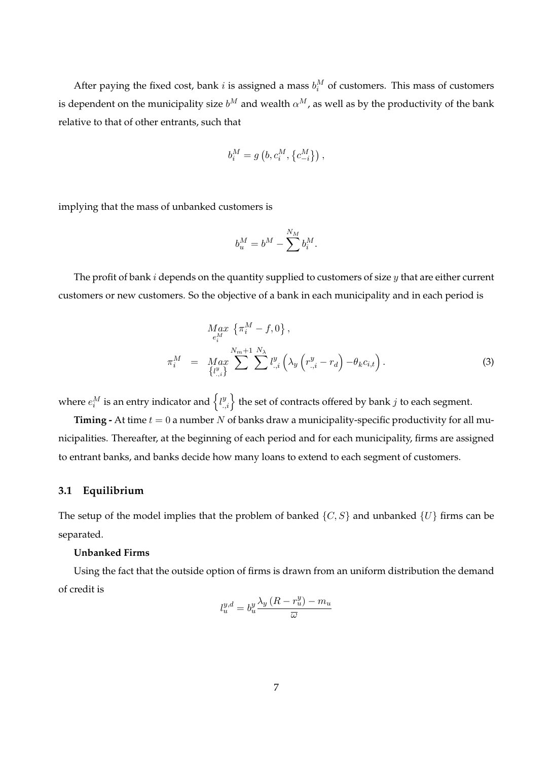After paying the fixed cost, bank *i* is assigned a mass  $b_i^M$  of customers. This mass of customers is dependent on the municipality size  $b^M$  and wealth  $\alpha^M$ , as well as by the productivity of the bank relative to that of other entrants, such that

$$
b_i^M = g\left(b, c_i^M, \{c_{-i}^M\}\right),\,
$$

implying that the mass of unbanked customers is

$$
b^M_u=b^M-\sum^{N_M}b^M_i.
$$

The profit of bank  $i$  depends on the quantity supplied to customers of size  $y$  that are either current customers or new customers. So the objective of a bank in each municipality and in each period is

$$
M_{e_i^M}^{A} \{ \pi_i^M - f, 0 \},
$$
  
\n
$$
\pi_i^M = M_{a x}^{A} \sum_{\{l_{:,i}^y\}}^{N_m + 1} \sum_{j=1}^{N_{\lambda}} l_{:,i}^y \left( \lambda_y \left( r_{:,i}^y - r_d \right) - \theta_k c_{i,t} \right).
$$
\n(3)

where  $e_i^M$  is an entry indicator and  $\left\{l_{.,i}^y\right\}$  the set of contracts offered by bank  $j$  to each segment.

**Timing -** At time  $t = 0$  a number N of banks draw a municipality-specific productivity for all municipalities. Thereafter, at the beginning of each period and for each municipality, firms are assigned to entrant banks, and banks decide how many loans to extend to each segment of customers.

#### **3.1 Equilibrium**

The setup of the model implies that the problem of banked  $\{C, S\}$  and unbanked  $\{U\}$  firms can be separated.

#### **Unbanked Firms**

Using the fact that the outside option of firms is drawn from an uniform distribution the demand of credit is

$$
l_u^{y,d} = b_u^y \frac{\lambda_y \left( R - r_u^y \right) - m_u}{\overline{\omega}}
$$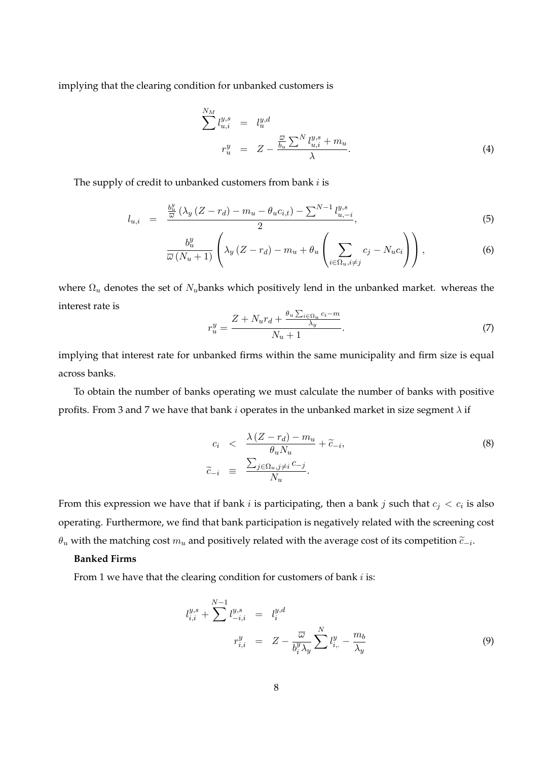implying that the clearing condition for unbanked customers is

$$
\sum_{u,i}^{N_M} l_{u,i}^{y,s} = l_u^{y,d}
$$
\n
$$
r_u^y = Z - \frac{\frac{\overline{\omega}}{b_u} \sum^N l_{u,i}^{y,s} + m_u}{\lambda}.
$$
\n(4)

The supply of credit to unbanked customers from bank  $i$  is

$$
l_{u,i} = \frac{\frac{b_u^y}{\bar{\omega}} (\lambda_y (Z - r_d) - m_u - \theta_u c_{i,t}) - \sum_{u, -i}^{N-1} l_{u, -i}^{y, s}}{2}, \tag{5}
$$

$$
\frac{b_u^y}{\overline{\omega}(N_u+1)}\left(\lambda_y\left(Z-r_d\right)-m_u+\theta_u\left(\sum_{i\in\Omega_u,i\neq j}c_j-N_u c_i\right)\right),\tag{6}
$$

where  $\Omega_u$  denotes the set of  $N_u$ banks which positively lend in the unbanked market. whereas the interest rate is

$$
r_u^y = \frac{Z + N_u r_d + \frac{\theta_u \sum_{i \in \Omega_u} c_i - m}{\lambda_y}}{N_u + 1}.
$$
\n
$$
(7)
$$

implying that interest rate for unbanked firms within the same municipality and firm size is equal across banks.

To obtain the number of banks operating we must calculate the number of banks with positive profits. From 3 and 7 we have that bank  $i$  operates in the unbanked market in size segment  $\lambda$  if

$$
c_i \quad < \quad \frac{\lambda \left( Z - r_d \right) - m_u}{\theta_u N_u} + \widetilde{c}_{-i},
$$
\n
$$
\widetilde{c}_{-i} \quad \equiv \quad \frac{\sum_{j \in \Omega_u, j \neq i} c_{-j}}{N_u}.
$$
\n
$$
(8)
$$

From this expression we have that if bank  $i$  is participating, then a bank  $j$  such that  $c_j < c_i$  is also operating. Furthermore, we find that bank participation is negatively related with the screening cost  $\theta_u$  with the matching cost  $m_u$  and positively related with the average cost of its competition  $\widetilde{c}_{-i}.$ 

#### **Banked Firms**

From 1 we have that the clearing condition for customers of bank  $i$  is:

$$
l_{i,i}^{y,s} + \sum_{i,j}^{N-1} l_{-i,i}^{y,s} = l_i^{y,d}
$$
  

$$
r_{i,i}^{y} = Z - \frac{\overline{\omega}}{b_i^{y} \lambda_y} \sum_{i,j}^{N} l_{i,j}^{y} - \frac{m_b}{\lambda_y}
$$
 (9)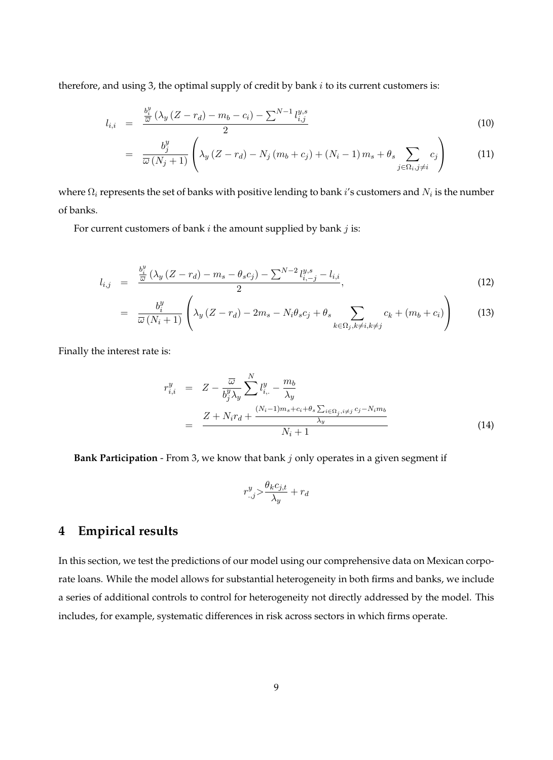therefore, and using 3, the optimal supply of credit by bank  $i$  to its current customers is:

$$
l_{i,i} = \frac{\frac{b_i^y}{\bar{\omega}} (\lambda_y (Z - r_d) - m_b - c_i) - \sum_{i,j} N - 1} l_{i,j}^{y,s}}{2}
$$
(10)

$$
= \frac{b_j^y}{\overline{\omega}(N_j+1)} \left( \lambda_y \left( Z - r_d \right) - N_j \left( m_b + c_j \right) + \left( N_i - 1 \right) m_s + \theta_s \sum_{j \in \Omega_i, j \neq i} c_j \right) \tag{11}
$$

where  $\Omega_i$  represents the set of banks with positive lending to bank  $i'$ s customers and  $N_i$  is the number of banks.

For current customers of bank  $i$  the amount supplied by bank  $j$  is:

$$
l_{i,j} = \frac{\frac{b_i^y}{\omega} (\lambda_y (Z - r_d) - m_s - \theta_s c_j) - \sum_{i,j} N - 2 l_{i,j}^{y,s} - l_{i,i}}{2}, \qquad (12)
$$

$$
= \frac{b_i^y}{\overline{\omega}(N_i+1)} \left( \lambda_y (Z - r_d) - 2m_s - N_i \theta_s c_j + \theta_s \sum_{k \in \Omega_j, k \neq i, k \neq j} c_k + (m_b + c_i) \right)
$$
(13)

Finally the interest rate is:

$$
r_{i,i}^y = Z - \frac{\overline{\omega}}{b_j^y \lambda_y} \sum_{i}^{N} l_{i}^y - \frac{m_b}{\lambda_y}
$$
  
= 
$$
\frac{Z + N_i r_d + \frac{(N_i - 1)m_s + c_i + \theta_s \sum_{i \in \Omega_j, i \neq j} c_j - N_i m_b}{\lambda_y}}{N_i + 1}
$$
(14)

**Bank Participation** - From 3, we know that bank j only operates in a given segment if

$$
r_{.,j}^y > \frac{\theta_k c_{j,t}}{\lambda_y} + r_d
$$

# **4 Empirical results**

In this section, we test the predictions of our model using our comprehensive data on Mexican corporate loans. While the model allows for substantial heterogeneity in both firms and banks, we include a series of additional controls to control for heterogeneity not directly addressed by the model. This includes, for example, systematic differences in risk across sectors in which firms operate.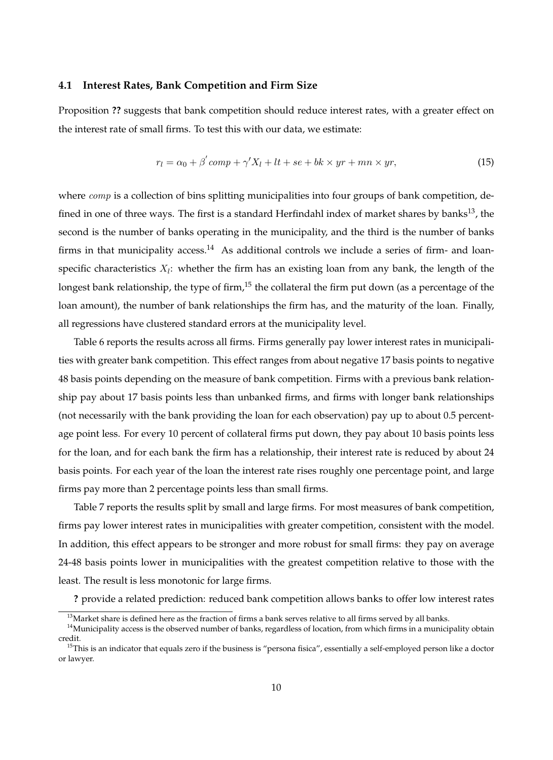#### **4.1 Interest Rates, Bank Competition and Firm Size**

Proposition **??** suggests that bank competition should reduce interest rates, with a greater effect on the interest rate of small firms. To test this with our data, we estimate:

$$
r_l = \alpha_0 + \beta' \, comp + \gamma' X_l + lt + se + bk \times yr + mn \times yr,
$$
\n<sup>(15)</sup>

where *comp* is a collection of bins splitting municipalities into four groups of bank competition, defined in one of three ways. The first is a standard Herfindahl index of market shares by banks<sup>13</sup>, the second is the number of banks operating in the municipality, and the third is the number of banks firms in that municipality access.<sup>14</sup> As additional controls we include a series of firm- and loanspecific characteristics  $X_l$ : whether the firm has an existing loan from any bank, the length of the longest bank relationship, the type of firm,<sup>15</sup> the collateral the firm put down (as a percentage of the loan amount), the number of bank relationships the firm has, and the maturity of the loan. Finally, all regressions have clustered standard errors at the municipality level.

Table 6 reports the results across all firms. Firms generally pay lower interest rates in municipalities with greater bank competition. This effect ranges from about negative 17 basis points to negative 48 basis points depending on the measure of bank competition. Firms with a previous bank relationship pay about 17 basis points less than unbanked firms, and firms with longer bank relationships (not necessarily with the bank providing the loan for each observation) pay up to about 0.5 percentage point less. For every 10 percent of collateral firms put down, they pay about 10 basis points less for the loan, and for each bank the firm has a relationship, their interest rate is reduced by about 24 basis points. For each year of the loan the interest rate rises roughly one percentage point, and large firms pay more than 2 percentage points less than small firms.

Table 7 reports the results split by small and large firms. For most measures of bank competition, firms pay lower interest rates in municipalities with greater competition, consistent with the model. In addition, this effect appears to be stronger and more robust for small firms: they pay on average 24-48 basis points lower in municipalities with the greatest competition relative to those with the least. The result is less monotonic for large firms.

**?** provide a related prediction: reduced bank competition allows banks to offer low interest rates

 $13$ Market share is defined here as the fraction of firms a bank serves relative to all firms served by all banks.

<sup>&</sup>lt;sup>14</sup>Municipality access is the observed number of banks, regardless of location, from which firms in a municipality obtain credit.

 $15$ This is an indicator that equals zero if the business is "persona fisica", essentially a self-employed person like a doctor or lawyer.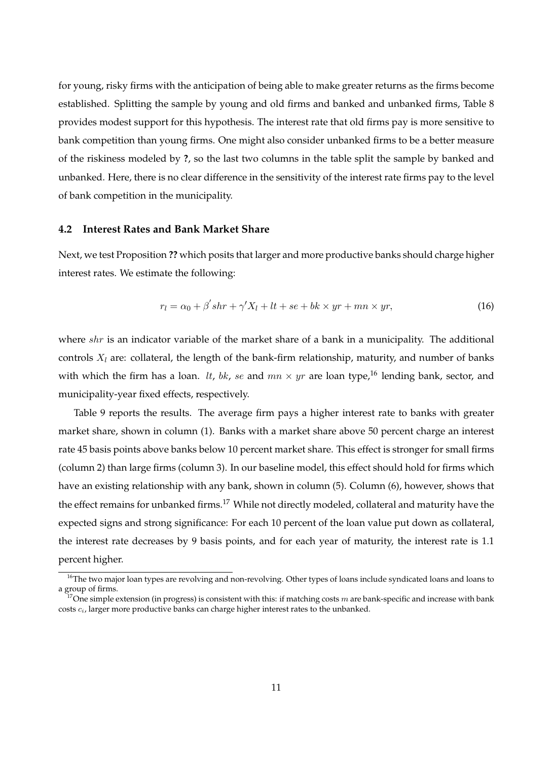for young, risky firms with the anticipation of being able to make greater returns as the firms become established. Splitting the sample by young and old firms and banked and unbanked firms, Table 8 provides modest support for this hypothesis. The interest rate that old firms pay is more sensitive to bank competition than young firms. One might also consider unbanked firms to be a better measure of the riskiness modeled by **?**, so the last two columns in the table split the sample by banked and unbanked. Here, there is no clear difference in the sensitivity of the interest rate firms pay to the level of bank competition in the municipality.

#### **4.2 Interest Rates and Bank Market Share**

Next, we test Proposition **??** which posits that larger and more productive banks should charge higher interest rates. We estimate the following:

$$
r_l = \alpha_0 + \beta' shr + \gamma' X_l + lt + se + bk \times yr + mn \times yr,
$$
\n(16)

where shr is an indicator variable of the market share of a bank in a municipality. The additional controls  $X_l$  are: collateral, the length of the bank-firm relationship, maturity, and number of banks with which the firm has a loan. *lt, bk, se* and  $mn \times yr$  are loan type,<sup>16</sup> lending bank, sector, and municipality-year fixed effects, respectively.

Table 9 reports the results. The average firm pays a higher interest rate to banks with greater market share, shown in column (1). Banks with a market share above 50 percent charge an interest rate 45 basis points above banks below 10 percent market share. This effect is stronger for small firms (column 2) than large firms (column 3). In our baseline model, this effect should hold for firms which have an existing relationship with any bank, shown in column (5). Column (6), however, shows that the effect remains for unbanked firms.<sup>17</sup> While not directly modeled, collateral and maturity have the expected signs and strong significance: For each 10 percent of the loan value put down as collateral, the interest rate decreases by 9 basis points, and for each year of maturity, the interest rate is 1.1 percent higher.

<sup>&</sup>lt;sup>16</sup>The two major loan types are revolving and non-revolving. Other types of loans include syndicated loans and loans to a group of firms.

<sup>&</sup>lt;sup>17</sup>One simple extension (in progress) is consistent with this: if matching costs m are bank-specific and increase with bank costs  $c_i$ , larger more productive banks can charge higher interest rates to the unbanked.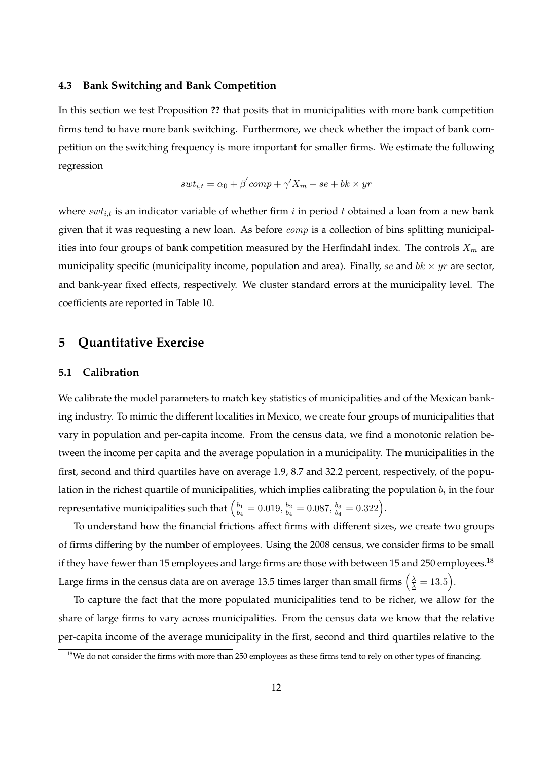#### **4.3 Bank Switching and Bank Competition**

In this section we test Proposition **??** that posits that in municipalities with more bank competition firms tend to have more bank switching. Furthermore, we check whether the impact of bank competition on the switching frequency is more important for smaller firms. We estimate the following regression

$$
swt_{i,t} = \alpha_0 + \beta' comp + \gamma' X_m + se + bk \times yr
$$

where  $swt_{i,t}$  is an indicator variable of whether firm i in period t obtained a loan from a new bank given that it was requesting a new loan. As before  $comp$  is a collection of bins splitting municipalities into four groups of bank competition measured by the Herfindahl index. The controls  $X_m$  are municipality specific (municipality income, population and area). Finally, se and  $bk \times yr$  are sector, and bank-year fixed effects, respectively. We cluster standard errors at the municipality level. The coefficients are reported in Table 10.

## **5 Quantitative Exercise**

#### **5.1 Calibration**

We calibrate the model parameters to match key statistics of municipalities and of the Mexican banking industry. To mimic the different localities in Mexico, we create four groups of municipalities that vary in population and per-capita income. From the census data, we find a monotonic relation between the income per capita and the average population in a municipality. The municipalities in the first, second and third quartiles have on average 1.9, 8.7 and 32.2 percent, respectively, of the population in the richest quartile of municipalities, which implies calibrating the population  $b_i$  in the four representative municipalities such that  $\left(\frac{b_1}{b_2}\right)$  $\frac{b_1}{b_4} = 0.019, \frac{b_2}{b_4}$  $\frac{b_2}{b_4}=0.087,\frac{b_3}{b_4}$  $\frac{b_3}{b_4} = 0.322.$ .

To understand how the financial frictions affect firms with different sizes, we create two groups of firms differing by the number of employees. Using the 2008 census, we consider firms to be small if they have fewer than 15 employees and large firms are those with between 15 and 250 employees.<sup>18</sup> Large firms in the census data are on average 13.5 times larger than small firms  $\left(\frac{\overline{\lambda}}{\Delta} = 13.5\right)$ .

To capture the fact that the more populated municipalities tend to be richer, we allow for the share of large firms to vary across municipalities. From the census data we know that the relative per-capita income of the average municipality in the first, second and third quartiles relative to the

<sup>&</sup>lt;sup>18</sup>We do not consider the firms with more than 250 employees as these firms tend to rely on other types of financing.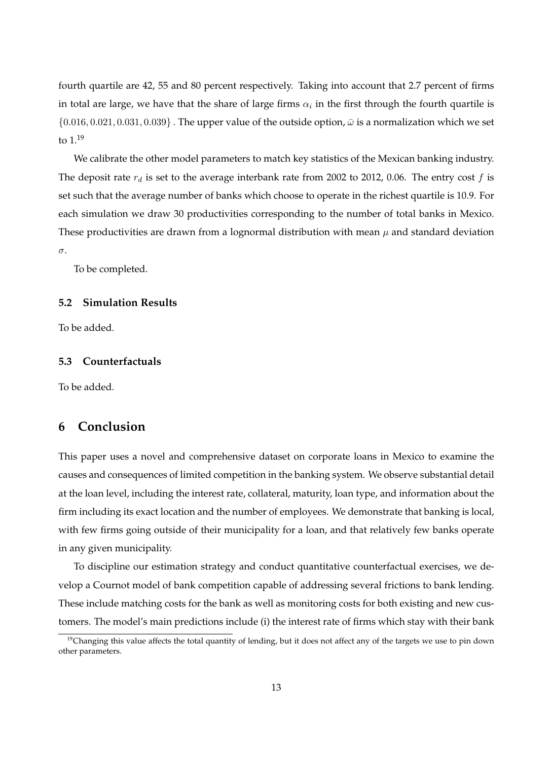fourth quartile are 42, 55 and 80 percent respectively. Taking into account that 2.7 percent of firms in total are large, we have that the share of large firms  $\alpha_i$  in the first through the fourth quartile is  $\{0.016, 0.021, 0.031, 0.039\}$ . The upper value of the outside option,  $\bar{\omega}$  is a normalization which we set to  $1^{19}$ 

We calibrate the other model parameters to match key statistics of the Mexican banking industry. The deposit rate  $r_d$  is set to the average interbank rate from 2002 to 2012, 0.06. The entry cost f is set such that the average number of banks which choose to operate in the richest quartile is 10.9. For each simulation we draw 30 productivities corresponding to the number of total banks in Mexico. These productivities are drawn from a lognormal distribution with mean  $\mu$  and standard deviation  $\sigma$ .

To be completed.

#### **5.2 Simulation Results**

To be added.

#### **5.3 Counterfactuals**

To be added.

# **6 Conclusion**

This paper uses a novel and comprehensive dataset on corporate loans in Mexico to examine the causes and consequences of limited competition in the banking system. We observe substantial detail at the loan level, including the interest rate, collateral, maturity, loan type, and information about the firm including its exact location and the number of employees. We demonstrate that banking is local, with few firms going outside of their municipality for a loan, and that relatively few banks operate in any given municipality.

To discipline our estimation strategy and conduct quantitative counterfactual exercises, we develop a Cournot model of bank competition capable of addressing several frictions to bank lending. These include matching costs for the bank as well as monitoring costs for both existing and new customers. The model's main predictions include (i) the interest rate of firms which stay with their bank

 $19$ Changing this value affects the total quantity of lending, but it does not affect any of the targets we use to pin down other parameters.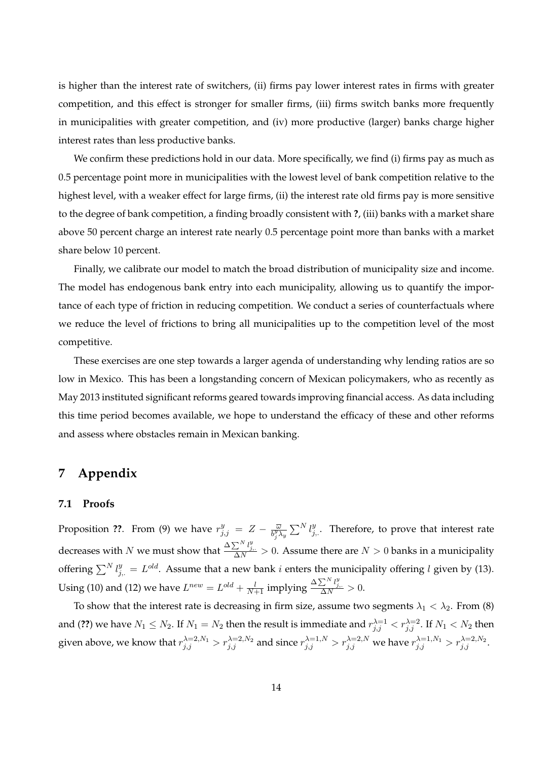is higher than the interest rate of switchers, (ii) firms pay lower interest rates in firms with greater competition, and this effect is stronger for smaller firms, (iii) firms switch banks more frequently in municipalities with greater competition, and (iv) more productive (larger) banks charge higher interest rates than less productive banks.

We confirm these predictions hold in our data. More specifically, we find (i) firms pay as much as 0.5 percentage point more in municipalities with the lowest level of bank competition relative to the highest level, with a weaker effect for large firms, (ii) the interest rate old firms pay is more sensitive to the degree of bank competition, a finding broadly consistent with **?**, (iii) banks with a market share above 50 percent charge an interest rate nearly 0.5 percentage point more than banks with a market share below 10 percent.

Finally, we calibrate our model to match the broad distribution of municipality size and income. The model has endogenous bank entry into each municipality, allowing us to quantify the importance of each type of friction in reducing competition. We conduct a series of counterfactuals where we reduce the level of frictions to bring all municipalities up to the competition level of the most competitive.

These exercises are one step towards a larger agenda of understanding why lending ratios are so low in Mexico. This has been a longstanding concern of Mexican policymakers, who as recently as May 2013 instituted significant reforms geared towards improving financial access. As data including this time period becomes available, we hope to understand the efficacy of these and other reforms and assess where obstacles remain in Mexican banking.

# **7 Appendix**

#### **7.1 Proofs**

Proposition ??. From (9) we have  $r_{j,j}^y = Z - \frac{\overline{\omega}}{b_j^y y_j}$  $\frac{\overline{\omega}}{b^y_j \lambda_y} \sum^N l_{j,\cdot}^y$  . Therefore, to prove that interest rate decreases with N we must show that  $\frac{\Delta \sum^N l_{j,\cdot}^y}{\Delta N} > 0$ . Assume there are  $N > 0$  banks in a municipality offering  $\sum^N l_{j,\cdot}^y = L^{old}$ . Assume that a new bank *i* enters the municipality offering *l* given by (13). Using (10) and (12) we have  $L^{new} = L^{old} + \frac{l}{N+1}$  implying  $\frac{\Delta \sum^{N} l_{j}^{y}}{\Delta N} > 0$ .

To show that the interest rate is decreasing in firm size, assume two segments  $\lambda_1 < \lambda_2$ . From (8) and (??) we have  $N_1\leq N_2.$  If  $N_1=N_2$  then the result is immediate and  $r_{j,j}^{\lambda=1}< r_{j,j}^{\lambda=2}.$  If  $N_1< N_2$  then given above, we know that  $r_{j,j}^{\lambda=2,N_1}>r_{j,j}^{\lambda=2,N_2}$  and since  $r_{j,j}^{\lambda=1,N}>r_{j,j}^{\lambda=2,N}$  we have  $r_{j,j}^{\lambda=1,N_1}>r_{j,j}^{\lambda=2,N_2}.$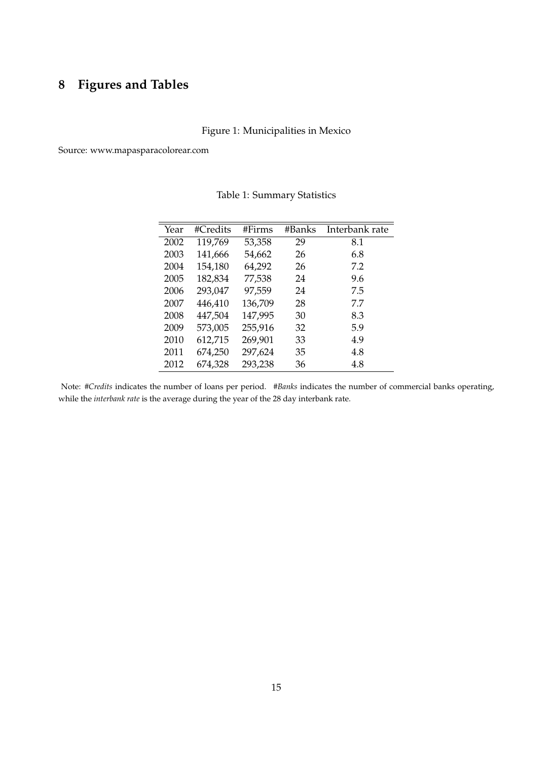# **8 Figures and Tables**

# Figure 1: Municipalities in Mexico

Source: www.mapasparacolorear.com

| Year | #Credits | #Firms  | #Banks | Interbank rate |
|------|----------|---------|--------|----------------|
| 2002 | 119,769  | 53,358  | 29     | 8.1            |
| 2003 | 141,666  | 54,662  | 26     | 6.8            |
| 2004 | 154,180  | 64,292  | 26     | 7.2            |
| 2005 | 182,834  | 77,538  | 24     | 9.6            |
| 2006 | 293,047  | 97,559  | 24     | 7.5            |
| 2007 | 446,410  | 136,709 | 28     | 7.7            |
| 2008 | 447,504  | 147,995 | 30     | 8.3            |
| 2009 | 573,005  | 255,916 | 32     | 5.9            |
| 2010 | 612,715  | 269,901 | 33     | 4.9            |
| 2011 | 674,250  | 297,624 | 35     | 4.8            |
| 2012 | 674,328  | 293,238 | 36     | 4.8            |

Table 1: Summary Statistics

Note: *#Credits* indicates the number of loans per period. *#Banks* indicates the number of commercial banks operating, while the *interbank rate* is the average during the year of the 28 day interbank rate.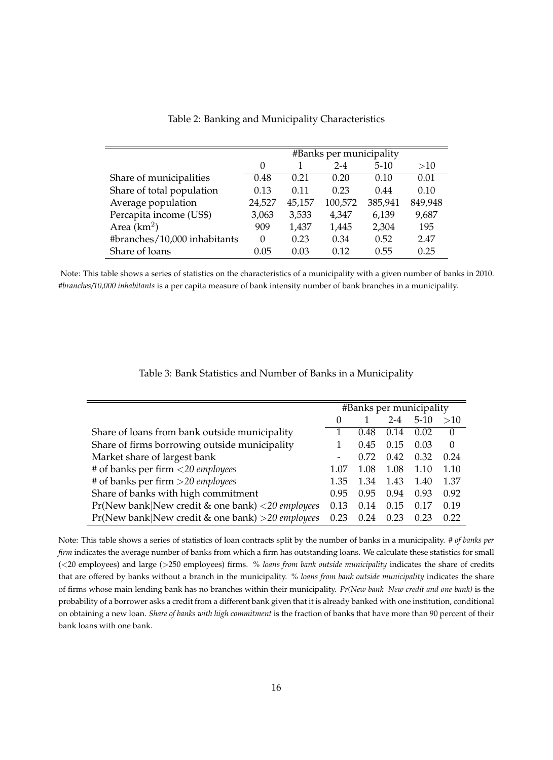|                              |        |        | #Banks per municipality |         |         |
|------------------------------|--------|--------|-------------------------|---------|---------|
|                              | 0      |        | $2 - 4$                 | $5-10$  | >10     |
| Share of municipalities      | 0.48   | 0.21   | 0.20                    | 0.10    | 0.01    |
| Share of total population    | 0.13   | 0.11   | 0.23                    | 0.44    | 0.10    |
| Average population           | 24,527 | 45,157 | 100,572                 | 385,941 | 849,948 |
| Percapita income (US\$)      | 3,063  | 3,533  | 4,347                   | 6,139   | 9,687   |
| Area $(km2)$                 | 909    | 1,437  | 1,445                   | 2,304   | 195     |
| #branches/10,000 inhabitants | 0      | 0.23   | 0.34                    | 0.52    | 2.47    |
| Share of loans               | 0.05   | 0.03   | 0.12                    | 0.55    | 0.25    |

Table 2: Banking and Municipality Characteristics

Note: This table shows a series of statistics on the characteristics of a municipality with a given number of banks in 2010. *#branches/10,000 inhabitants* is a per capita measure of bank intensity number of bank branches in a municipality.

| Table 3: Bank Statistics and Number of Banks in a Municipality |  |  |  |
|----------------------------------------------------------------|--|--|--|
|----------------------------------------------------------------|--|--|--|

|                                                     |                          |      |         | #Banks per municipality |          |
|-----------------------------------------------------|--------------------------|------|---------|-------------------------|----------|
|                                                     | $\theta$                 |      | $2 - 4$ | $5-10$                  | >10      |
| Share of loans from bank outside municipality       |                          | 0.48 | 0.14    | 0.02                    | $\theta$ |
| Share of firms borrowing outside municipality       |                          | 0.45 | 0.15    | 0.03                    | $\theta$ |
| Market share of largest bank                        | $\overline{\phantom{a}}$ | 0.72 | 0.42    | 0.32                    | 0.24     |
| # of banks per firm <20 employees                   | 1.07                     | 1.08 | 1.08    | 1.10                    | 1.10     |
| # of banks per firm $>$ 20 employees                | 1.35                     | 1.34 | 1.43    | 1.40                    | 1.37     |
| Share of banks with high commitment                 | 0.95                     | 0.95 | 0.94    | 0.93                    | 0.92     |
| Pr(New bank New credit & one bank) <20 employees    | 0.13                     | 0.14 | 0.15    | 0.17                    | 0.19     |
| $Pr(New bank New credit & one bank) > 20 employees$ | 0.23                     | 0.24 | 0.23    | 0.23                    | 0.22     |

Note: This table shows a series of statistics of loan contracts split by the number of banks in a municipality. *# of banks per firm* indicates the average number of banks from which a firm has outstanding loans. We calculate these statistics for small (<20 employees) and large (>250 employees) firms. *% loans from bank outside municipality* indicates the share of credits that are offered by banks without a branch in the municipality. *% loans from bank outside municipality* indicates the share of firms whose main lending bank has no branches within their municipality. *Pr(New bank* j*New credit and one bank)* is the probability of a borrower asks a credit from a different bank given that it is already banked with one institution, conditional on obtaining a new loan. *Share of banks with high commitment* is the fraction of banks that have more than 90 percent of their bank loans with one bank.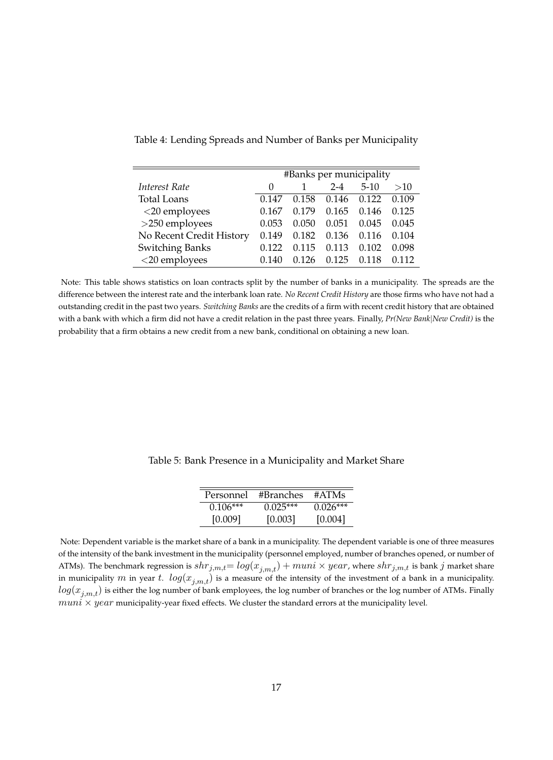|                          | #Banks per municipality |       |         |        |       |  |
|--------------------------|-------------------------|-------|---------|--------|-------|--|
| Interest Rate            | $\mathbf{0}$            |       | $2 - 4$ | $5-10$ | >10   |  |
| <b>Total Loans</b>       | 0.147                   | 0.158 | 0.146   | 0.122  | 0.109 |  |
| <20 employees            | 0.167                   | 0.179 | 0.165   | 0.146  | 0.125 |  |
| ${>}250$ employees       | 0.053                   | 0.050 | 0.051   | 0.045  | 0.045 |  |
| No Recent Credit History | 0.149                   | 0.182 | 0.136   | 0.116  | 0.104 |  |
| <b>Switching Banks</b>   | 0.122                   | 0.115 | 0.113   | 0.102  | 0.098 |  |
| $<$ 20 employees         | (1.140)                 |       | 0.125   | 0.118  | 0.112 |  |

Table 4: Lending Spreads and Number of Banks per Municipality

Note: This table shows statistics on loan contracts split by the number of banks in a municipality. The spreads are the difference between the interest rate and the interbank loan rate. *No Recent Credit History* are those firms who have not had a outstanding credit in the past two years. *Switching Banks* are the credits of a firm with recent credit history that are obtained with a bank with which a firm did not have a credit relation in the past three years. Finally, *Pr(New Bank*j*New Credit)* is the probability that a firm obtains a new credit from a new bank, conditional on obtaining a new loan.

Table 5: Bank Presence in a Municipality and Market Share

| Personnel  | #Branches  | #ATMs      |
|------------|------------|------------|
| $0.106***$ | $0.025***$ | $0.026***$ |
| [0.009]    | [0.003]    | [0.004]    |

Note: Dependent variable is the market share of a bank in a municipality. The dependent variable is one of three measures of the intensity of the bank investment in the municipality (personnel employed, number of branches opened, or number of ATMs). The benchmark regression is  $shr_{j,m,t} = log(x_{j,m,t}) + muni \times year$ , where  $shr_{j,m,t}$  is bank  $j$  market share in municipality m in year t.  $log(x_{j,m,t})$  is a measure of the intensity of the investment of a bank in a municipality.  $log(x_{i,m,t})$  is either the log number of bank employees, the log number of branches or the log number of ATMs. Finally  $muni \times year$  municipality-year fixed effects. We cluster the standard errors at the municipality level.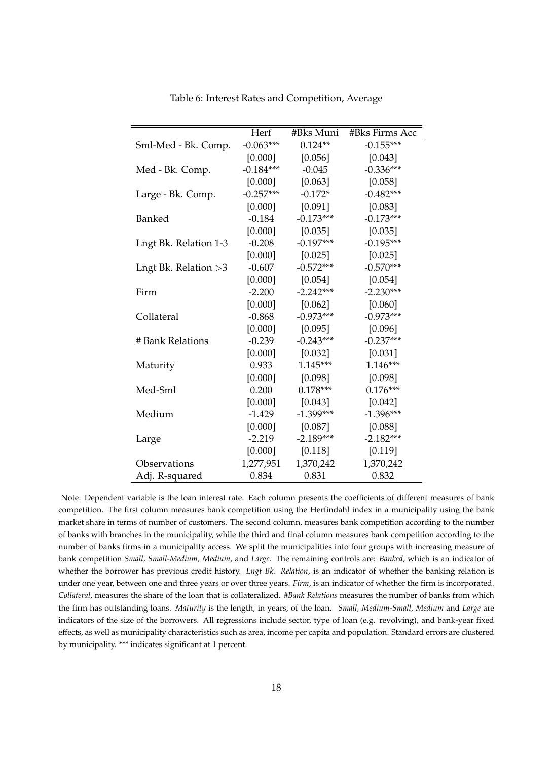|                        | Herf        | #Bks Muni   | #Bks Firms Acc |
|------------------------|-------------|-------------|----------------|
| Sml-Med - Bk. Comp.    | $-0.063***$ | $0.124**$   | $-0.155***$    |
|                        | [0.000]     | [0.056]     | [0.043]        |
| Med - Bk. Comp.        | $-0.184***$ | $-0.045$    | $-0.336***$    |
|                        | [0.000]     | [0.063]     | [0.058]        |
| Large - Bk. Comp.      | $-0.257***$ | $-0.172*$   | $-0.482***$    |
|                        | [0.000]     | [0.091]     | [0.083]        |
| Banked                 | $-0.184$    | $-0.173***$ | $-0.173***$    |
|                        | [0.000]     | [0.035]     | [0.035]        |
| Lngt Bk. Relation 1-3  | $-0.208$    | $-0.197***$ | $-0.195***$    |
|                        | [0.000]     | [0.025]     | [0.025]        |
| Lngt Bk. Relation $>3$ | $-0.607$    | $-0.572***$ | $-0.570***$    |
|                        | [0.000]     | [0.054]     | [0.054]        |
| Firm                   | $-2.200$    | $-2.242***$ | $-2.230***$    |
|                        | [0.000]     | [0.062]     | [0.060]        |
| Collateral             | $-0.868$    | $-0.973***$ | $-0.973***$    |
|                        | [0.000]     | [0.095]     | [0.096]        |
| # Bank Relations       | $-0.239$    | $-0.243***$ | $-0.237***$    |
|                        | [0.000]     | [0.032]     | [0.031]        |
| Maturity               | 0.933       | 1.145***    | $1.146***$     |
|                        | [0.000]     | [0.098]     | [0.098]        |
| Med-Sml                | 0.200       | $0.178***$  | $0.176***$     |
|                        | [0.000]     | [0.043]     | [0.042]        |
| Medium                 | $-1.429$    | $-1.399***$ | $-1.396***$    |
|                        | [0.000]     | [0.087]     | [0.088]        |
| Large                  | $-2.219$    | $-2.189***$ | $-2.182***$    |
|                        | [0.000]     | [0.118]     | [0.119]        |
| Observations           | 1,277,951   | 1,370,242   | 1,370,242      |
| Adj. R-squared         | 0.834       | 0.831       | 0.832          |

Table 6: Interest Rates and Competition, Average

Note: Dependent variable is the loan interest rate. Each column presents the coefficients of different measures of bank competition. The first column measures bank competition using the Herfindahl index in a municipality using the bank market share in terms of number of customers. The second column, measures bank competition according to the number of banks with branches in the municipality, while the third and final column measures bank competition according to the number of banks firms in a municipality access. We split the municipalities into four groups with increasing measure of bank competition *Small, Small-Medium, Medium*, and *Large*. The remaining controls are: *Banked*, which is an indicator of whether the borrower has previous credit history. *Lngt Bk. Relation*, is an indicator of whether the banking relation is under one year, between one and three years or over three years. *Firm*, is an indicator of whether the firm is incorporated. *Collateral*, measures the share of the loan that is collateralized. *#Bank Relations* measures the number of banks from which the firm has outstanding loans. *Maturity* is the length, in years, of the loan. *Small, Medium-Small, Medium* and *Large* are indicators of the size of the borrowers. All regressions include sector, type of loan (e.g. revolving), and bank-year fixed effects, as well as municipality characteristics such as area, income per capita and population. Standard errors are clustered by municipality. \*\*\* indicates significant at 1 percent.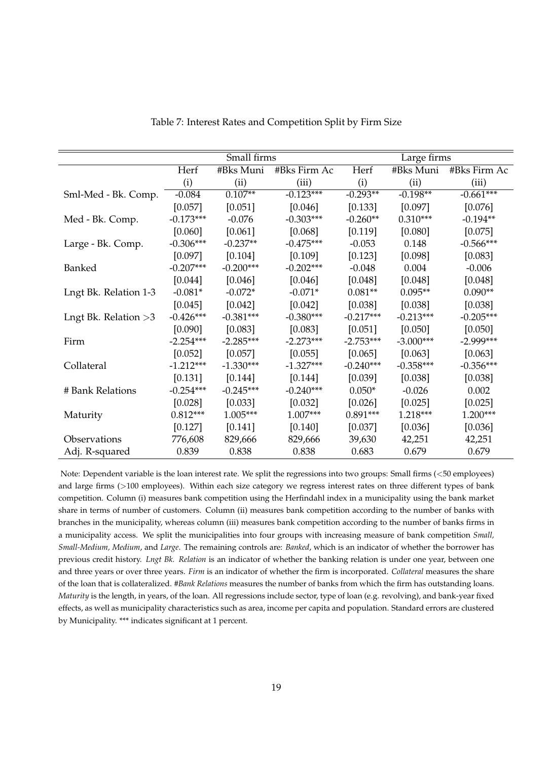|                       |             | Small firms |              | Large firms |             |              |  |
|-----------------------|-------------|-------------|--------------|-------------|-------------|--------------|--|
|                       | Herf        | #Bks Muni   | #Bks Firm Ac | Herf        | #Bks Muni   | #Bks Firm Ac |  |
|                       | (i)         | (ii)        | (iii)        | (i)         | (ii)        | (iii)        |  |
| Sml-Med - Bk. Comp.   | $-0.084$    | $0.107**$   | $-0.123***$  | $-0.293**$  | $-0.198**$  | $-0.661***$  |  |
|                       | [0.057]     | [0.051]     | [0.046]      | [0.133]     | [0.097]     | [0.076]      |  |
| Med - Bk. Comp.       | $-0.173***$ | $-0.076$    | $-0.303***$  | $-0.260**$  | $0.310***$  | $-0.194**$   |  |
|                       | [0.060]     | [0.061]     | [0.068]      | [0.119]     | [0.080]     | [0.075]      |  |
| Large - Bk. Comp.     | $-0.306***$ | $-0.237**$  | $-0.475***$  | $-0.053$    | 0.148       | $-0.566***$  |  |
|                       | [0.097]     | [0.104]     | [0.109]      | [0.123]     | [0.098]     | [0.083]      |  |
| Banked                | $-0.207***$ | $-0.200***$ | $-0.202***$  | $-0.048$    | 0.004       | $-0.006$     |  |
|                       | [0.044]     | [0.046]     | [0.046]      | [0.048]     | [0.048]     | [0.048]      |  |
| Lngt Bk. Relation 1-3 | $-0.081*$   | $-0.072*$   | $-0.071*$    | $0.081**$   | $0.095**$   | $0.090**$    |  |
|                       | [0.045]     | [0.042]     | [0.042]      | [0.038]     | [0.038]     | [0.038]      |  |
| Lngt Bk. Relation >3  | $-0.426***$ | $-0.381***$ | $-0.380***$  | $-0.217***$ | $-0.213***$ | $-0.205***$  |  |
|                       | [0.090]     | [0.083]     | [0.083]      | [0.051]     | [0.050]     | [0.050]      |  |
| Firm                  | $-2.254***$ | $-2.285***$ | $-2.273***$  | $-2.753***$ | $-3.000***$ | $-2.999***$  |  |
|                       | [0.052]     | [0.057]     | [0.055]      | [0.065]     | [0.063]     | [0.063]      |  |
| Collateral            | $-1.212***$ | $-1.330***$ | $-1.327***$  | $-0.240***$ | $-0.358***$ | $-0.356***$  |  |
|                       | [0.131]     | [0.144]     | [0.144]      | [0.039]     | [0.038]     | [0.038]      |  |
| # Bank Relations      | $-0.254***$ | $-0.245***$ | $-0.240***$  | $0.050*$    | $-0.026$    | 0.002        |  |
|                       | [0.028]     | [0.033]     | [0.032]      | [0.026]     | [0.025]     | [0.025]      |  |
| Maturity              | $0.812***$  | $1.005***$  | $1.007***$   | $0.891***$  | 1.218***    | $1.200***$   |  |
|                       | [0.127]     | [0.141]     | [0.140]      | [0.037]     | [0.036]     | [0.036]      |  |
| Observations          | 776,608     | 829,666     | 829,666      | 39,630      | 42,251      | 42,251       |  |
| Adj. R-squared        | 0.839       | 0.838       | 0.838        | 0.683       | 0.679       | 0.679        |  |

Table 7: Interest Rates and Competition Split by Firm Size

Note: Dependent variable is the loan interest rate. We split the regressions into two groups: Small firms (<50 employees) and large firms (>100 employees). Within each size category we regress interest rates on three different types of bank competition. Column (i) measures bank competition using the Herfindahl index in a municipality using the bank market share in terms of number of customers. Column (ii) measures bank competition according to the number of banks with branches in the municipality, whereas column (iii) measures bank competition according to the number of banks firms in a municipality access. We split the municipalities into four groups with increasing measure of bank competition *Small, Small-Medium, Medium*, and *Large*. The remaining controls are: *Banked*, which is an indicator of whether the borrower has previous credit history. *Lngt Bk. Relation* is an indicator of whether the banking relation is under one year, between one and three years or over three years. *Firm* is an indicator of whether the firm is incorporated. *Collateral* measures the share of the loan that is collateralized. *#Bank Relations* measures the number of banks from which the firm has outstanding loans. *Maturity* is the length, in years, of the loan. All regressions include sector, type of loan (e.g. revolving), and bank-year fixed effects, as well as municipality characteristics such as area, income per capita and population. Standard errors are clustered by Municipality. \*\*\* indicates significant at 1 percent.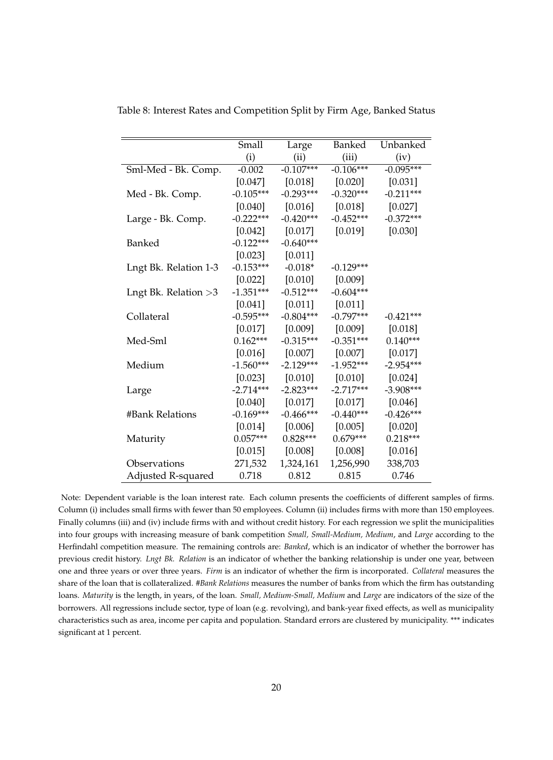|                        | Small       | Large       | Banked      | Unbanked    |
|------------------------|-------------|-------------|-------------|-------------|
|                        | (i)         | (ii)        | (iii)       | (iv)        |
| Sml-Med - Bk. Comp.    | $-0.002$    | $-0.107***$ | $-0.106***$ | $-0.095***$ |
|                        | [0.047]     | $[0.018]$   | $[0.020]$   | [0.031]     |
| Med - Bk. Comp.        | $-0.105***$ | $-0.293***$ | $-0.320***$ | $-0.211***$ |
|                        | $[0.040]$   | $[0.016]$   | $[0.018]$   | [0.027]     |
| Large - Bk. Comp.      | $-0.222***$ | $-0.420***$ | $-0.452***$ | $-0.372***$ |
|                        | $[0.042]$   | $[0.017]$   | $[0.019]$   | [0.030]     |
| Banked                 | $-0.122***$ | $-0.640***$ |             |             |
|                        | $[0.023]$   | [0.011]     |             |             |
| Lngt Bk. Relation 1-3  | $-0.153***$ | $-0.018*$   | $-0.129***$ |             |
|                        | [0.022]     | $[0.010]$   | [0.009]     |             |
| Lngt Bk. Relation $>3$ | $-1.351***$ | $-0.512***$ | $-0.604***$ |             |
|                        | [0.041]     | $[0.011]$   | [0.011]     |             |
| Collateral             | $-0.595***$ | $-0.804***$ | $-0.797***$ | $-0.421***$ |
|                        | $[0.017]$   | [0.009]     | $[0.009]$   | [0.018]     |
| Med-Sml                | $0.162***$  | $-0.315***$ | $-0.351***$ | $0.140***$  |
|                        | $[0.016]$   | $[0.007]$   | [0.007]     | [0.017]     |
| Medium                 | $-1.560***$ | $-2.129***$ | $-1.952***$ | $-2.954***$ |
|                        | [0.023]     | $[0.010]$   | $[0.010]$   | $[0.024]$   |
| Large                  | $-2.714***$ | $-2.823***$ | $-2.717***$ | $-3.908***$ |
|                        | $[0.040]$   | $[0.017]$   | $[0.017]$   | [0.046]     |
| #Bank Relations        | $-0.169***$ | $-0.466***$ | $-0.440***$ | $-0.426***$ |
|                        | $[0.014]$   | [0.006]     | $[0.005]$   | [0.020]     |
| Maturity               | $0.057***$  | $0.828***$  | $0.679***$  | $0.218***$  |
|                        | $[0.015]$   | $[0.008]$   | $[0.008]$   | [0.016]     |
| Observations           | 271,532     | 1,324,161   | 1,256,990   | 338,703     |
| Adjusted R-squared     | 0.718       | 0.812       | 0.815       | 0.746       |

Table 8: Interest Rates and Competition Split by Firm Age, Banked Status

Note: Dependent variable is the loan interest rate. Each column presents the coefficients of different samples of firms. Column (i) includes small firms with fewer than 50 employees. Column (ii) includes firms with more than 150 employees. Finally columns (iii) and (iv) include firms with and without credit history. For each regression we split the municipalities into four groups with increasing measure of bank competition *Small, Small-Medium, Medium*, and *Large* according to the Herfindahl competition measure. The remaining controls are: *Banked*, which is an indicator of whether the borrower has previous credit history. *Lngt Bk. Relation* is an indicator of whether the banking relationship is under one year, between one and three years or over three years. *Firm* is an indicator of whether the firm is incorporated. *Collateral* measures the share of the loan that is collateralized. *#Bank Relations* measures the number of banks from which the firm has outstanding loans. *Maturity* is the length, in years, of the loan. *Small, Medium-Small, Medium* and *Large* are indicators of the size of the borrowers. All regressions include sector, type of loan (e.g. revolving), and bank-year fixed effects, as well as municipality characteristics such as area, income per capita and population. Standard errors are clustered by municipality. \*\*\* indicates significant at 1 percent.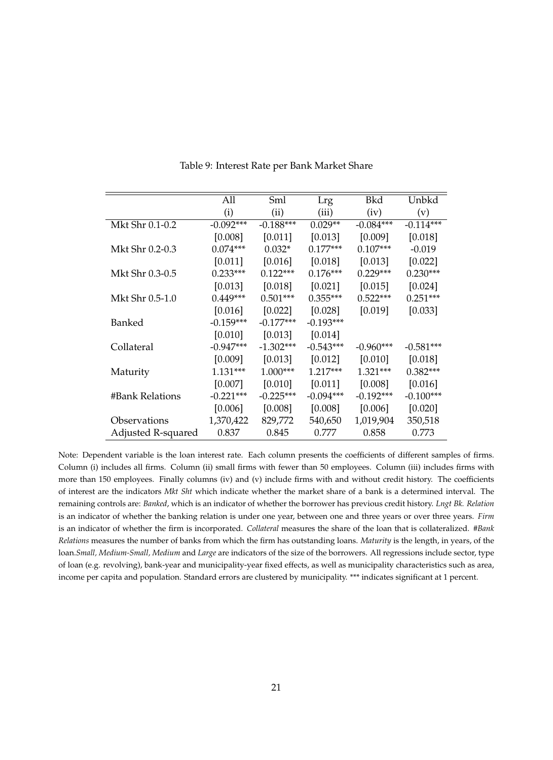|                    | All         | Sml         | Lrg         | Bkd         | Unbkd       |
|--------------------|-------------|-------------|-------------|-------------|-------------|
|                    | (i)         | (ii)        | (iii)       | (iv)        | (v)         |
| Mkt Shr 0.1-0.2    | $-0.092***$ | $-0.188***$ | $0.029**$   | $-0.084***$ | $-0.114***$ |
|                    | [0.008]     | [0.011]     | [0.013]     | [0.009]     | [0.018]     |
| Mkt Shr 0.2-0.3    | $0.074***$  | $0.032*$    | $0.177***$  | $0.107***$  | $-0.019$    |
|                    | [0.011]     | [0.016]     | [0.018]     | [0.013]     | [0.022]     |
| Mkt Shr 0.3-0.5    | $0.233***$  | $0.122***$  | $0.176***$  | $0.229***$  | $0.230***$  |
|                    | [0.013]     | [0.018]     | [0.021]     | [0.015]     | [0.024]     |
| Mkt Shr 0.5-1.0    | $0.449***$  | $0.501***$  | $0.355***$  | $0.522***$  | $0.251***$  |
|                    | [0.016]     | [0.022]     | [0.028]     | [0.019]     | [0.033]     |
| Banked             | $-0.159***$ | $-0.177***$ | $-0.193***$ |             |             |
|                    | [0.010]     | [0.013]     | [0.014]     |             |             |
| Collateral         | $-0.947***$ | $-1.302***$ | $-0.543***$ | $-0.960***$ | $-0.581***$ |
|                    | [0.009]     | [0.013]     | [0.012]     | [0.010]     | [0.018]     |
| Maturity           | $1.131***$  | $1.000***$  | $1.217***$  | $1.321***$  | $0.382***$  |
|                    | [0.007]     | [0.010]     | [0.011]     | [0.008]     | [0.016]     |
| #Bank Relations    | $-0.221***$ | $-0.225***$ | $-0.094***$ | $-0.192***$ | $-0.100***$ |
|                    | [0.006]     | [0.008]     | [0.008]     | [0.006]     | [0.020]     |
| Observations       | 1,370,422   | 829,772     | 540,650     | 1,019,904   | 350,518     |
| Adjusted R-squared | 0.837       | 0.845       | 0.777       | 0.858       | 0.773       |

Table 9: Interest Rate per Bank Market Share

Note: Dependent variable is the loan interest rate. Each column presents the coefficients of different samples of firms. Column (i) includes all firms. Column (ii) small firms with fewer than 50 employees. Column (iii) includes firms with more than 150 employees. Finally columns (iv) and (v) include firms with and without credit history. The coefficients of interest are the indicators *Mkt Sht* which indicate whether the market share of a bank is a determined interval. The remaining controls are: *Banked*, which is an indicator of whether the borrower has previous credit history. *Lngt Bk. Relation* is an indicator of whether the banking relation is under one year, between one and three years or over three years. *Firm* is an indicator of whether the firm is incorporated. *Collateral* measures the share of the loan that is collateralized. *#Bank Relations* measures the number of banks from which the firm has outstanding loans. *Maturity* is the length, in years, of the loan.*Small, Medium-Small, Medium* and *Large* are indicators of the size of the borrowers. All regressions include sector, type of loan (e.g. revolving), bank-year and municipality-year fixed effects, as well as municipality characteristics such as area, income per capita and population. Standard errors are clustered by municipality. \*\*\* indicates significant at 1 percent.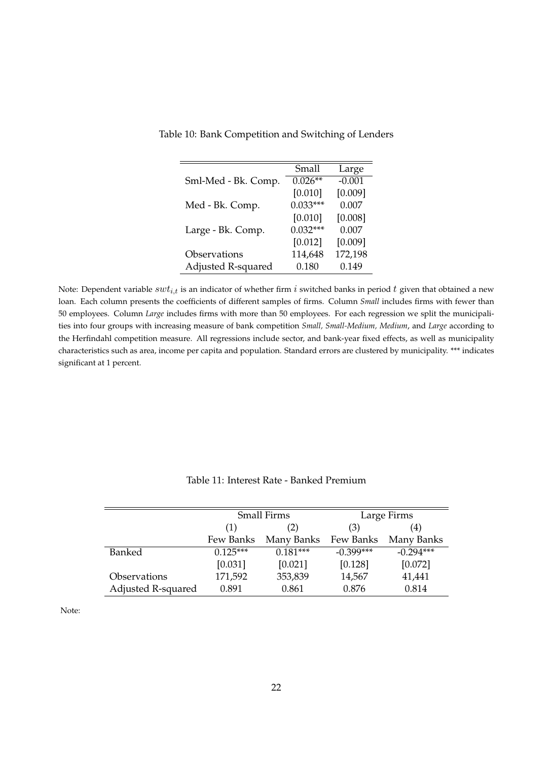|                     | Small      | Large    |
|---------------------|------------|----------|
| Sml-Med - Bk. Comp. | $0.026**$  | $-0.001$ |
|                     | [0.010]    | [0.009]  |
| Med - Bk. Comp.     | $0.033***$ | 0.007    |
|                     | [0.010]    | [0.008]  |
| Large - Bk. Comp.   | $0.032***$ | 0.007    |
|                     | [0.012]    | [0.009]  |
| Observations        | 114,648    | 172,198  |
| Adjusted R-squared  | 0.180      | 0.149    |

Table 10: Bank Competition and Switching of Lenders

Note: Dependent variable  $swt_{i,t}$  is an indicator of whether firm i switched banks in period t given that obtained a new loan. Each column presents the coefficients of different samples of firms. Column *Small* includes firms with fewer than 50 employees. Column *Large* includes firms with more than 50 employees. For each regression we split the municipalities into four groups with increasing measure of bank competition *Small, Small-Medium, Medium*, and *Large* according to the Herfindahl competition measure. All regressions include sector, and bank-year fixed effects, as well as municipality characteristics such as area, income per capita and population. Standard errors are clustered by municipality. \*\*\* indicates significant at 1 percent.

|                     | Small Firms |            | Large Firms |             |  |
|---------------------|-------------|------------|-------------|-------------|--|
|                     | (1)         | (2)        | (3)         | (4)         |  |
|                     | Few Banks   | Many Banks | Few Banks   | Many Banks  |  |
| Banked              | $0.125***$  | $0.181***$ | $-0.399***$ | $-0.294***$ |  |
|                     | [0.031]     | [0.021]    | [0.128]     | [0.072]     |  |
| <b>Observations</b> | 171,592     | 353,839    | 14,567      | 41,441      |  |
| Adjusted R-squared  | 0.891       | 0.861      | 0.876       | 0.814       |  |

Table 11: Interest Rate - Banked Premium

Note: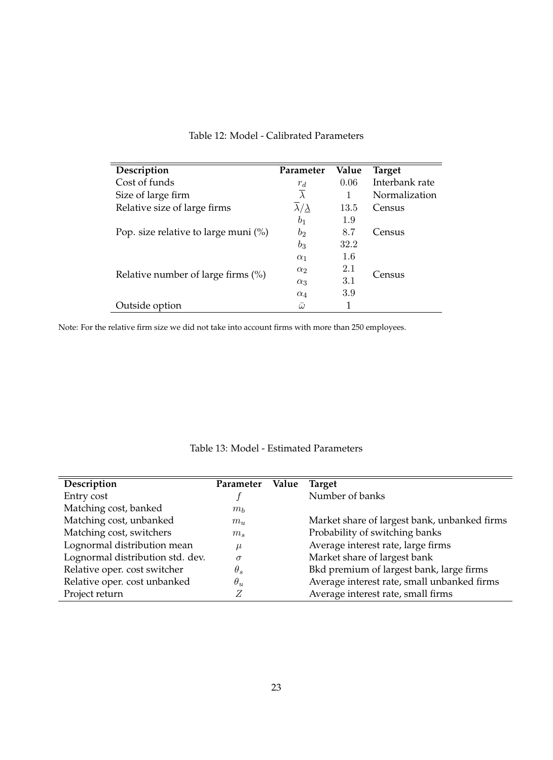| Description                             | Parameter                     | Value | <b>Target</b>  |
|-----------------------------------------|-------------------------------|-------|----------------|
| Cost of funds                           | $r_d$                         | 0.06  | Interbank rate |
| Size of large firm                      | $\overline{\lambda}$          |       | Normalization  |
| Relative size of large firms            | $\lambda/\underline{\lambda}$ | 13.5  | Census         |
|                                         | b <sub>1</sub>                | 1.9   |                |
| Pop. size relative to large muni $(\%)$ | $b_2$                         | 8.7   | Census         |
|                                         | $b_3$                         | 32.2  |                |
|                                         | $\alpha_1$                    | 1.6   |                |
|                                         | $\alpha_2$                    | 2.1   | Census         |
| Relative number of large firms $(\%)$   | $\alpha_3$                    | 3.1   |                |
|                                         | $\alpha_4$                    | 3.9   |                |
| Outside option                          | $\bar{\omega}$                |       |                |

### Table 12: Model - Calibrated Parameters

Note: For the relative firm size we did not take into account firms with more than 250 employees.

| Description                      | Parameter  | Value | <b>Target</b>                                |
|----------------------------------|------------|-------|----------------------------------------------|
| Entry cost                       |            |       | Number of banks                              |
| Matching cost, banked            | $m_h$      |       |                                              |
| Matching cost, unbanked          | $m_u$      |       | Market share of largest bank, unbanked firms |
| Matching cost, switchers         | $m_s$      |       | Probability of switching banks               |
| Lognormal distribution mean      | $\mu$      |       | Average interest rate, large firms           |
| Lognormal distribution std. dev. | $\sigma$   |       | Market share of largest bank                 |
| Relative oper. cost switcher     | $\theta_s$ |       | Bkd premium of largest bank, large firms     |
| Relative oper. cost unbanked     | $\theta_u$ |       | Average interest rate, small unbanked firms  |
| Project return                   | Ζ          |       | Average interest rate, small firms           |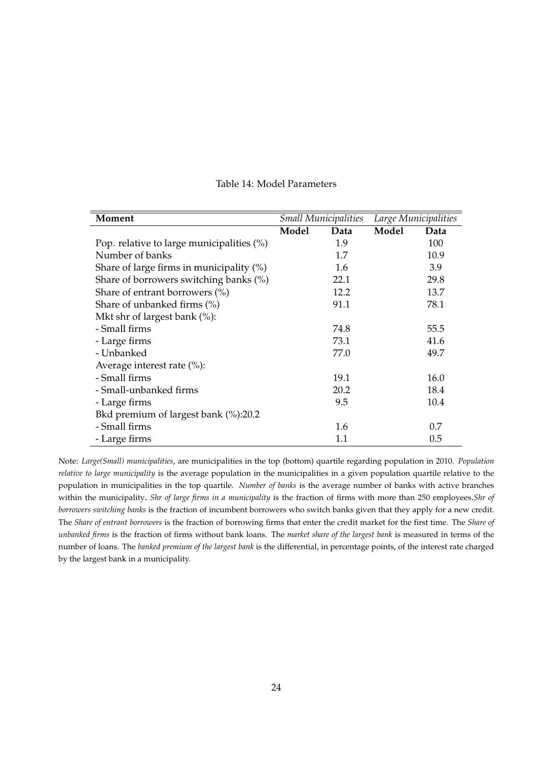| Moment                                       | <b>Small Municipalities</b> |      | Large Municipalities |      |
|----------------------------------------------|-----------------------------|------|----------------------|------|
|                                              | Model                       | Data | Model                | Data |
| Pop. relative to large municipalities $(\%)$ |                             | 1.9  |                      | 100  |
| Number of banks                              |                             | 1.7  |                      | 10.9 |
| Share of large firms in municipality $(\%)$  |                             | 1.6  |                      | 3.9  |
| Share of borrowers switching banks (%)       |                             | 22.1 |                      | 29.8 |
| Share of entrant borrowers $(\%)$            |                             | 12.2 |                      | 13.7 |
| Share of unbanked firms $(\%)$               |                             | 91.1 |                      | 78.1 |
| Mkt shr of largest bank $(\%)$ :             |                             |      |                      |      |
| - Small firms                                |                             | 74.8 |                      | 55.5 |
| - Large firms                                |                             | 73.1 |                      | 41.6 |
| - Unbanked                                   |                             | 77.0 |                      | 49.7 |
| Average interest rate $(\% )$ :              |                             |      |                      |      |
| - Small firms                                |                             | 19.1 |                      | 16.0 |
| - Small-unbanked firms                       |                             | 20.2 |                      | 18.4 |
| - Large firms                                |                             | 9.5  |                      | 10.4 |
| Bkd premium of largest bank (%):20.2         |                             |      |                      |      |
| - Small firms                                |                             | 1.6  |                      | 0.7  |
| - Large firms                                |                             | 1.1  |                      | 0.5  |

#### Table 14: Model Parameters

Note: *Large(Small) municipalities*, are municipalities in the top (bottom) quartile regarding population in 2010. *Population relative to large municipality* is the average population in the municipalities in a given population quartile relative to the population in municipalities in the top quartile*. Number of banks* is the average number of banks with active branches within the municipality. *Shr of large firms in a municipality* is the fraction of firms with more than 250 employees.*Shr of borrowers switching banks* is the fraction of incumbent borrowers who switch banks given that they apply for a new credit. The *Share of entrant borrowers* is the fraction of borrowing firms that enter the credit market for the first time. The *Share of unbanked firms* is the fraction of firms without bank loans. The *market share of the largest bank* is measured in terms of the number of loans. The *banked premium of the largest bank* is the differential, in percentage points, of the interest rate charged by the largest bank in a municipality.